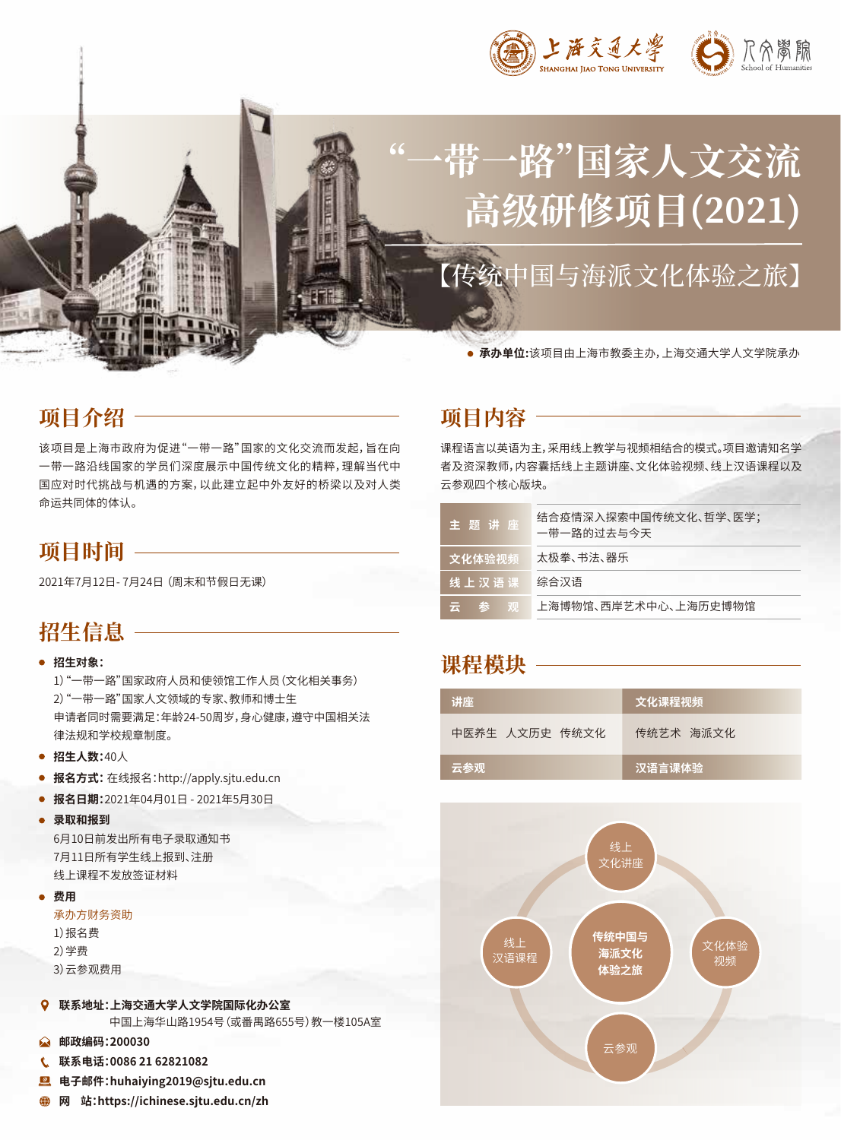

# **"一带一路"国家人文交流** 高级研修项目(2021)

【传统中国与海派文化体验之旅】

**承办单位:**该项目由上海市教委主办,上海交通大学人文学院承办

# **项目介绍**

该项目是上海市政府为促进"一带一路"国家的文化交流而发起,旨在向 一带一路沿线国家的学员们深度展示中国传统文化的精粹,理解当代中 国应对时代挑战与机遇的方案,以此建立起中外友好的桥梁以及对人类 命运共同体的体认。

## **项目时间**

2021年7月12日- 7月24日 (周末和节假日无课)

# **招生信息**

#### **招生对象:**

1)"一带一路"国家政府人员和使领馆工作人员(文化相关事务) 2)"一带一路"国家人文领域的专家、教师和博士生 申请者同时需要满足:年龄24-50周岁,身心健康,遵守中国相关法 律法规和学校规章制度。

- **招生人数:**40人
- **报名方式:** 在线报名:http://apply.sjtu.edu.cn
- **报名日期:**2021年04月01日 2021年5月30日
- **录取和报到**

6月10日前发出所有电子录取通知书 7月11日所有学生线上报到、注册 线上课程不发放签证材料

#### **费用**

#### 承办方财务资助

- 1)报名费
- 2)学费
- 3)云参观费用
- **联系地址:上海交通大学人文学院国际化办公室**

中国上海华山路1954号(或番禺路655号)教一楼105A室

- **邮政编码:200030**  $\Omega$
- $\mathbf{C}$ **联系电话:0086 21 62821082**
- $^{\circ}$ **电子邮件:huhaiying2019@sjtu.edu.cn**
- **网 站:https://ichinese.sjtu.edu.cn/zh** ⊕

# **项目内容**

课程语言以英语为主,采用线上教学与视频相结合的模式。项目邀请知名学 者及资深教师,内容囊括线上主题讲座、文化体验视频、线上汉语课程以及 云参观四个核心版块。

| 主题讲座      | 结合疫情深入探索中国传统文化、哲学、医学;<br>一带一路的过去与今天 |
|-----------|-------------------------------------|
| 文化体验视频    | 太极拳、书法、器乐                           |
| 线 上 汉 语 课 | 综合汉语                                |
| 云参观       | 上海博物馆、西岸艺术中心、上海历史博物馆                |

## **课程模块**

| 讲座             | 文化课程视频         |
|----------------|----------------|
| 中医养生 人文历史 传统文化 | 传统艺术 海派文化      |
| 云参观            | <b>,汉语言课体验</b> |